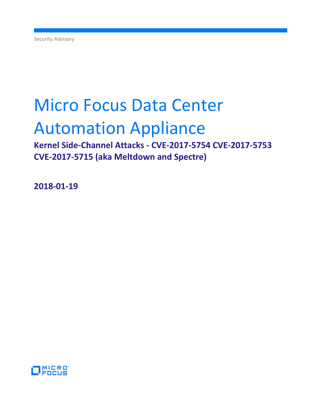# Micro Focus Data Center

## Automation Appliance

**Kernel Side-Channel Attacks - CVE-2017-5754 CVE-2017-5753 CVE-2017-5715 (aka Meltdown and Spectre)**

**2018-01-19**

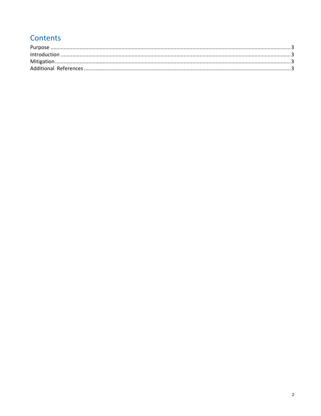### Contents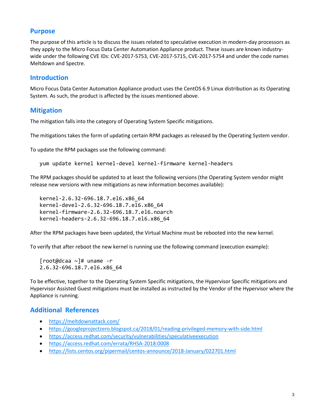#### <span id="page-2-0"></span>**Purpose**

The purpose of this article is to discuss the issues related to speculative execution in modern-day processors as they apply to the Micro Focus Data Center Automation Appliance product. These issues are known industrywide under the following CVE IDs: CVE-2017-5753, CVE-2017-5715, CVE-2017-5754 and under the code names Meltdown and Spectre.

#### <span id="page-2-1"></span>**Introduction**

Micro Focus Data Center Automation Appliance product uses the CentOS 6.9 Linux distribution as its Operating System. As such, the product is affected by the issues mentioned above.

#### <span id="page-2-2"></span>**Mitigation**

The mitigation falls into the category of Operating System Specific mitigations.

The mitigations takes the form of updating certain RPM packages as released by the Operating System vendor.

To update the RPM packages use the following command:

yum update kernel kernel-devel kernel-firmware kernel-headers

The RPM packages should be updated to at least the following versions (the Operating System vendor might release new versions with new mitigations as new information becomes available):

kernel-2.6.32-696.18.7.el6.x86\_64 kernel-devel-2.6.32-696.18.7.el6.x86\_64 kernel-firmware-2.6.32-696.18.7.el6.noarch kernel-headers-2.6.32-696.18.7.el6.x86\_64

After the RPM packages have been updated, the Virtual Machine must be rebooted into the new kernel.

To verify that after reboot the new kernel is running use the following command (execution example):

[root@dcaa ~]# uname -r 2.6.32-696.18.7.el6.x86\_64

To be effective, together to the Operating System Specific mitigations, the Hypervisor Specific mitigations and Hypervisor Assisted Guest mitigations must be installed as instructed by the Vendor of the Hypervisor where the Appliance is running.

#### <span id="page-2-3"></span>**Additional References**

- <https://meltdownattack.com/>
- <https://googleprojectzero.blogspot.ca/2018/01/reading-privileged-memory-with-side.html>
- <https://access.redhat.com/security/vulnerabilities/speculativeexecution>
- <https://access.redhat.com/errata/RHSA-2018:0008>
- <https://lists.centos.org/pipermail/centos-announce/2018-January/022701.html>